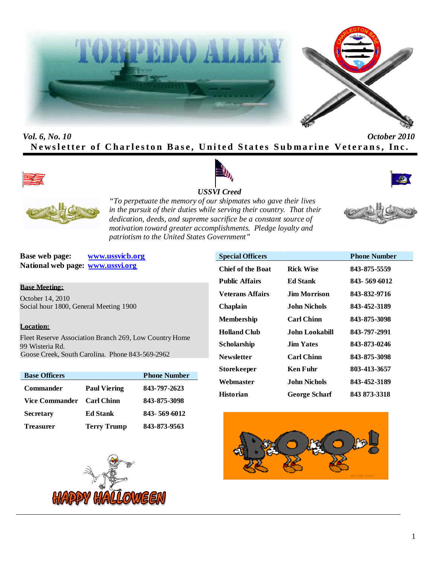



# *Vol. 6, No. 10 October 2010* **Newsletter of Charleston Base, United States Submarine Veterans, Inc.**









*"To perpetuate the memory of our shipmates who gave their lives in the pursuit of their duties while serving their country. That their dedication, deeds, and supreme sacrifice be a constant source of motivation toward greater accomplishments. Pledge loyalty and patriotism to the United States Government"*

**Base web page: www.ussvicb.org National web page: www.ussvi.org**

# **Base Meeting:**

October 14, 2010 Social hour 1800, General Meeting 1900

# **Location:**

Fleet Reserve Association Branch 269, Low Country Home 99 Wisteria Rd. Goose Creek, South Carolina. Phone 843-569-2962

| <b>Base Officers</b>  |                     | <b>Phone Number</b> |
|-----------------------|---------------------|---------------------|
| <b>Commander</b>      | <b>Paul Viering</b> | 843-797-2623        |
| <b>Vice Commander</b> | <b>Carl Chinn</b>   | 843-875-3098        |
| <b>Secretary</b>      | <b>Ed Stank</b>     | 843-569-6012        |
| <b>Treasurer</b>      | <b>Terry Trump</b>  | 843-873-9563        |





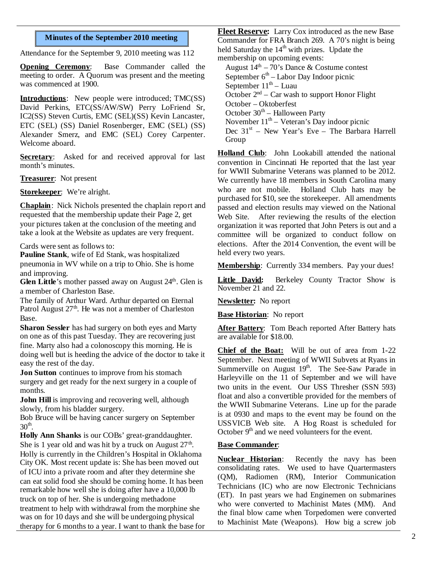# **Minutes of the September 2010 meeting**

Attendance for the September 9, 2010 meeting was 112

**Opening Ceremony**: Base Commander called the meeting to order. A Quorum was present and the meeting was commenced at 1900.

**Introductions**: New people were introduced; TMC(SS) David Perkins, ETC(SS/AW/SW) Perry LoFriend Sr, IC2(SS) Steven Curtis, EMC (SEL)(SS) Kevin Lancaster, ETC (SEL) (SS) Daniel Rosenberger, EMC (SEL) (SS) Alexander Smerz, and EMC (SEL) Corey Carpenter. Welcome aboard.

**Secretary:** Asked for and received approval for last month's minutes.

**Treasurer**: Not present

**Storekeeper**: We're alright.

**Chaplain**: Nick Nichols presented the chaplain report and requested that the membership update their Page 2, get your pictures taken at the conclusion of the meeting and take a look at the Website as updates are very frequent.

Cards were sent as follows to:

**Pauline Stank**, wife of Ed Stank, was hospitalized pneumonia in WV while on a trip to Ohio. She is home and improving.

**Glen Little**'s mother passed away on August 24<sup>th</sup>. Glen is Little David: a member of Charleston Base.

The family of Arthur Ward. Arthur departed on Eternal Patrol August  $27<sup>th</sup>$ . He was not a member of Charleston Base.

**Sharon Sessler** has had surgery on both eyes and Marty on one as of this past Tuesday. They are recovering just fine. Marty also had a colonoscopy this morning. He is doing well but is heeding the advice of the doctor to take it easy the rest of the day.

**Jon Sutton** continues to improve from his stomach surgery and get ready for the next surgery in a couple of months.

**John Hill** is improving and recovering well, although slowly, from his bladder surgery.

Bob Bruce will be having cancer surgery on September  $30<sup>th</sup>$ .

**Holly Ann Shanks** is our COBs' great-granddaughter. She is 1 year old and was hit by a truck on August  $27<sup>th</sup>$ . Holly is currently in the Children's Hospital in Oklahoma City OK. Most recent update is: She has been moved out of ICU into a private room and after they determine she can eat solid food she should be coming home. It has been remarkable how well she is doing after have a 10,000 lb truck on top of her. She is undergoing methadone treatment to help with withdrawal from the morphine she was on for 10 days and she will be undergoing physical therapy for 6 months to a year. I want to thank the base for

**Fleet Reserve:** Larry Cox introduced as the new Base Commander for FRA Branch 269. A 70's night is being held Saturday the  $14<sup>th</sup>$  with prizes. Update the membership on upcoming events:

August  $14<sup>th</sup> - 70$ 's Dance & Costume contest September  $6<sup>th</sup>$  – Labor Day Indoor picnic September  $11<sup>th</sup>$  – Luau October  $2<sup>nd</sup>$  – Car wash to support Honor Flight October – Oktoberfest October  $30<sup>th</sup>$  – Halloween Party November  $11<sup>th</sup>$  – Veteran's Day indoor picnic Dec 31<sup>st</sup> - New Year's Eve - The Barbara Harrell Group

**Holland Club**: John Lookabill attended the national convention in Cincinnati He reported that the last year for WWII Submarine Veterans was planned to be 2012. We currently have 18 members in South Carolina many who are not mobile. Holland Club hats may be purchased for \$10, see the storekeeper. All amendments passed and election results may viewed on the National Web Site. After reviewing the results of the election organization it was reported that John Peters is out and a committee will be organized to conduct follow on elections. After the 2014 Convention, the event will be held every two years.

**Membership**: Currently 334 members. Pay your dues!

Berkeley County Tractor Show is November 21 and 22.

**Newsletter:** No report

**Base Historian**: No report

**After Battery**: Tom Beach reported After Battery hats are available for \$18.00.

**Chief of the Boat:** Will be out of area from 1-22 September. Next meeting of WWII Subvets at Ryans in Summerville on August  $19<sup>th</sup>$ . The See-Saw Parade in Harleyville on the 11 of September and we will have two units in the event. Our USS Thresher (SSN 593) float and also a convertible provided for the members of the WWII Submarine Veterans. Line up for the parade is at 0930 and maps to the event may be found on the USSVICB Web site. A Hog Roast is scheduled for October  $9<sup>th</sup>$  and we need volunteers for the event.

# **Base Commander**:

**Nuclear Historian**: Recently the navy has been consolidating rates. We used to have Quartermasters (QM), Radiomen (RM), Interior Communication Technicians (IC) who are now Electronic Technicians (ET). In past years we had Enginemen on submarines who were converted to Machinist Mates (MM). And the final blow came when Torpedomen were converted to Machinist Mate (Weapons). How big a screw job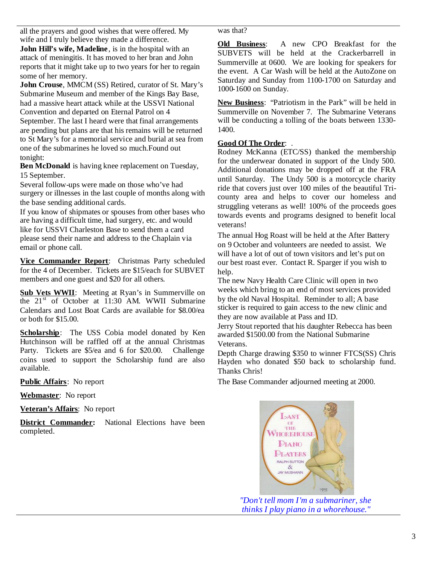all the prayers and good wishes that were offered. My wife and I truly believe they made a difference. **John Hill's wife, Madeline**, is in the hospital with an attack of meningitis. It has moved to her bran and John reports that it might take up to two years for her to regain some of her memory.

**John Crouse**, MMCM (SS) Retired, curator of St. Mary's Submarine Museum and member of the Kings Bay Base, had a massive heart attack while at the USSVI National Convention and departed on Eternal Patrol on 4 September. The last I heard were that final arrangements are pending but plans are that his remains will be returned to St Mary's for a memorial service and burial at sea from one of the submarines he loved so much.Found out tonight:

**Ben McDonald** is having knee replacement on Tuesday, 15 September.

Several follow-ups were made on those who've had surgery or illnesses in the last couple of months along with the base sending additional cards.

If you know of shipmates or spouses from other bases who are having a difficult time, had surgery, etc. and would like for USSVI Charleston Base to send them a card please send their name and address to the Chaplain via email or phone call.

**Vice Commander Report**: Christmas Party scheduled for the 4 of December. Tickets are \$15/each for SUBVET members and one guest and \$20 for all others.

**Sub Vets WWII**: Meeting at Ryan's in Summerville on the  $21<sup>st</sup>$  of October at 11:30 AM. WWII Submarine Calendars and Lost Boat Cards are available for \$8.00/ea or both for \$15.00.

**Scholarship**: The USS Cobia model donated by Ken Hutchinson will be raffled off at the annual Christmas Party. Tickets are \$5/ea and 6 for \$20.00. Challenge coins used to support the Scholarship fund are also available.

**Public Affairs**: No report

**Webmaster**: No report

**Veteran's Affairs**: No report

**District Commander:** National Elections have been completed.

was that?

**Old Business**: A new CPO Breakfast for the SUBVETS will be held at the Crackerbarrell in Summerville at 0600. We are looking for speakers for the event. A Car Wash will be held at the AutoZone on Saturday and Sunday from 1100-1700 on Saturday and 1000-1600 on Sunday.

**New Business**: "Patriotism in the Park" will be held in Summerville on November 7. The Submarine Veterans will be conducting a tolling of the boats between 1330-1400.

# **Good Of The Order**: .

Rodney McKanna (ETC/SS) thanked the membership for the underwear donated in support of the Undy 500. Additional donations may be dropped off at the FRA until Saturday. The Undy 500 is a motorcycle charity ride that covers just over 100 miles of the beautiful Tricounty area and helps to cover our homeless and struggling veterans as well! 100% of the proceeds goes towards events and programs designed to benefit local veterans!

The annual Hog Roast will be held at the After Battery on 9 October and volunteers are needed to assist. We will have a lot of out of town visitors and let's put on our best roast ever. Contact R. Sparger if you wish to help.

The new Navy Health Care Clinic will open in two weeks which bring to an end of most services provided by the old Naval Hospital. Reminder to all; A base sticker is required to gain access to the new clinic and they are now available at Pass and ID.

Jerry Stout reported that his daughter Rebecca has been awarded \$1500.00 from the National Submarine Veterans.

Depth Charge drawing \$350 to winner FTCS(SS) Chris Hayden who donated \$50 back to scholarship fund. Thanks Chris!

The Base Commander adjourned meeting at 2000.



*"Don't tell mom I'm a submariner, she thinks I play piano in a whorehouse."*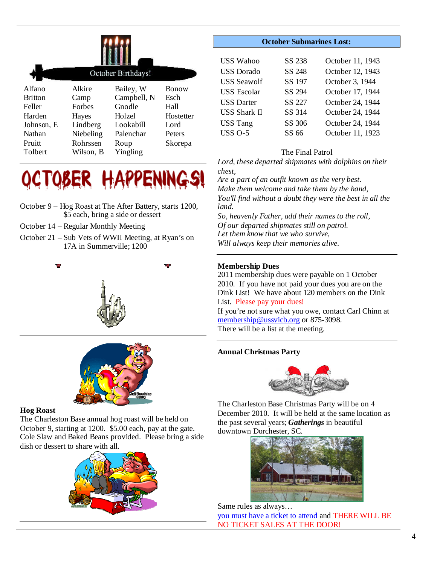|                | October Birthdays! |             |              |  |  |
|----------------|--------------------|-------------|--------------|--|--|
| Alfano         | Alkire             | Bailey, W   | <b>Bonow</b> |  |  |
| <b>Britton</b> | Camp               | Campbell, N | Esch         |  |  |
| Feller         | Forbes             | Gnodle      | Hall         |  |  |
| Harden         | Hayes              | Holzel      | Hostetter    |  |  |
| Johnson, E     | Lindberg           | Lookabill   | Lord         |  |  |
| Nathan         | Niebeling          | Palenchar   | Peters       |  |  |
| Pruitt         | Rohrssen           | Roup        | Skorepa      |  |  |
| Tolbert        | Wilson, B          | Yingling    |              |  |  |



- October 9 Hog Roast at The After Battery, starts 1200, \$5 each, bring a side or dessert
- October 14 Regular Monthly Meeting
- October 21 Sub Vets of WWII Meeting, at Ryan's on 17A in Summerville; 1200





#### **Hog Roast**

The Charleston Base annual hog roast will be held on October 9, starting at 1200. \$5.00 each, pay at the gate. Cole Slaw and Baked Beans provided. Please bring a side dish or dessert to share with all.



# **October Submarines Lost:**

| <b>USS Wahoo</b>   | SS 238 | October 11, 1943 |
|--------------------|--------|------------------|
| <b>USS</b> Dorado  | SS 248 | October 12, 1943 |
| <b>USS Seawolf</b> | SS 197 | October 3, 1944  |
| <b>USS</b> Escolar | SS 294 | October 17, 1944 |
| <b>USS Darter</b>  | SS 227 | October 24, 1944 |
| USS Shark II       | SS 314 | October 24, 1944 |
| <b>USS Tang</b>    | SS 306 | October 24, 1944 |
| $USS$ O-5          | SS 66  | October 11, 1923 |

# The Final Patrol

*Lord, these departed shipmates with dolphins on their chest,*

*Are a part of an outfit known as the very best. Make them welcome and take them by the hand, You'll find without a doubt they were the best in all the land. So, heavenly Father, add their names to the roll,*

*Of our departed shipmates still on patrol. Let them know that we who survive, Will always keep their memories alive.*

# **Membership Dues**

2011 membership dues were payable on 1 October 2010. If you have not paid your dues you are on the Dink List! We have about 120 members on the Dink List. Please pay your dues! If you're not sure what you owe, contact Carl Chinn at membership@ussvicb.org or 875-3098.

There will be a list at the meeting.

# **Annual Christmas Party**



The Charleston Base Christmas Party will be on 4 December 2010. It will be held at the same location as the past several years; *Gatherings* in beautiful downtown Dorchester, SC.



Same rules as always… you must have a ticket to attend and THERE WILL BE NO TICKET SALES AT THE DOOR!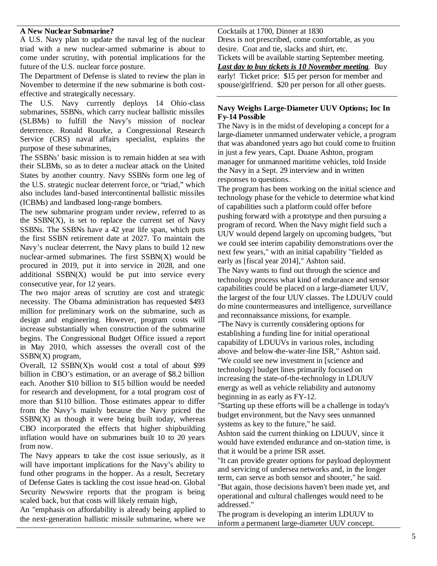## **A New Nuclear Submarine?**

A U.S. Navy plan to update the naval leg of the nuclear triad with a new nuclear-armed submarine is about to come under scrutiny, with potential implications for the future of the U.S. nuclear force posture.

The Department of Defense is slated to review the plan in November to determine if the new submarine is both costeffective and strategically necessary.

The U.S. Navy currently deploys 14 Ohio-class submarines, SSBNs, which carry nuclear ballistic missiles (SLBMs) to fulfill the Navy's mission of nuclear deterrence. Ronald Rourke, a Congressional Research Service (CRS) naval affairs specialist, explains the purpose of these submarines,

The SSBNs' basic mission is to remain hidden at sea with their SLBMs, so as to deter a nuclear attack on the United States by another country. Navy SSBNs form one leg of the U.S. strategic nuclear deterrent force, or "triad," which also includes land-based intercontinental ballistic missiles (ICBMs) and landbased long-range bombers.

The new submarine program under review, referred to as the  $SSBN(X)$ , is set to replace the current set of Navy SSBNs. The SSBNs have a 42 year life span, which puts the first SSBN retirement date at 2027. To maintain the Navy's nuclear deterrent, the Navy plans to build 12 new nuclear-armed submarines. The first  $SSBN(X)$  would be procured in 2019, put it into service in 2028, and one additional  $SSBN(X)$  would be put into service every consecutive year, for 12 years.

The two major areas of scrutiny are cost and strategic necessity. The Obama administration has requested \$493 million for preliminary work on the submarine, such as design and engineering. However, program costs will increase substantially when construction of the submarine begins. The Congressional Budget Office issued a report in May 2010, which assesses the overall cost of the SSBN(X) program,

Overall, 12 SSBN(X)s would cost a total of about \$99 billion in CBO's estimation, or an average of \$8.2 billion each. Another \$10 billion to \$15 billion would be needed for research and development, for a total program cost of more than \$110 billion. Those estimates appear to differ from the Navy's mainly because the Navy priced the  $SSBN(X)$  as though it were being built today, whereas CBO incorporated the effects that higher shipbuilding inflation would have on submarines built 10 to 20 years from now.

The Navy appears to take the cost issue seriously, as it will have important implications for the Navy's ability to fund other programs in the hopper. As a result, Secretary of Defense Gates is tackling the cost issue head-on. Global Security Newswire reports that the program is being scaled back, but that costs will likely remain high,

An "emphasis on affordability is already being applied to the next-generation ballistic missile submarine, where we Cocktails at 1700, Dinner at 1830

Dress is not prescribed, come comfortable, as you desire. Coat and tie, slacks and shirt, etc.

Tickets will be available starting September meeting. *Last day to buy tickets is 10 November meeting*. Buy early! Ticket price: \$15 per person for member and spouse/girlfriend. \$20 per person for all other guests.

# **Navy Weighs Large-Diameter UUV Options; Ioc In Fy-14 Possible**

The Navy is in the midst of developing a concept for a large-diameter unmanned underwater vehicle, a program that was abandoned years ago but could come to fruition in just a few years, Capt. Duane Ashton, program manager for unmanned maritime vehicles, told Inside the Navy in a Sept. 29 interview and in written responses to questions.

The program has been working on the initial science and technology phase for the vehicle to determine what kind of capabilities such a platform could offer before pushing forward with a prototype and then pursuing a program of record. When the Navy might field such a UUV would depend largely on upcoming budgets, "but we could see interim capability demonstrations over the next few years," with an initial capability "fielded as early as [fiscal year 2014]," Ashton said. The Navy wants to find out through the science and technology process what kind of endurance and sensor

capabilities could be placed on a large-diameter UUV, the largest of the four UUV classes. The LDUUV could do mine countermeasures and intelligence, surveillance and reconnaissance missions, for example.

"The Navy is currently considering options for establishing a funding line for initial operational capability of LDUUVs in various roles, including above- and below-the-water-line ISR," Ashton said.

"We could see new investment in [science and technology] budget lines primarily focused on increasing the state-of-the-technology in LDUUV energy as well as vehicle reliability and autonomy beginning in as early as FY-12.

"Starting up these efforts will be a challenge in today's budget environment, but the Navy sees unmanned systems as key to the future," he said.

Ashton said the current thinking on LDUUV, since it would have extended endurance and on-station time, is that it would be a prime ISR asset.

"It can provide greater options for payload deployment and servicing of undersea networks and, in the longer term, can serve as both sensor and shooter," he said. "But again, those decisions haven't been made yet, and operational and cultural challenges would need to be addressed."

The program is developing an interim LDUUV to inform a permanent large-diameter UUV concept.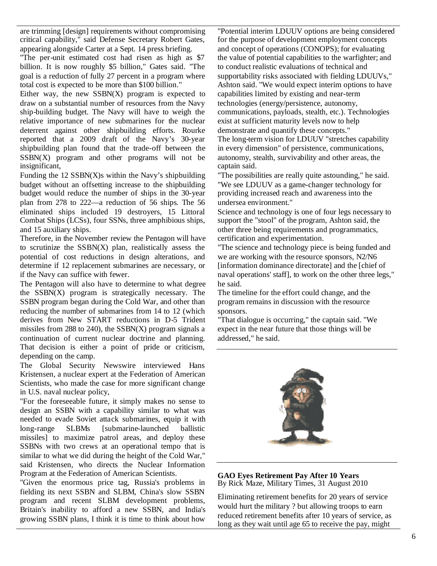are trimming [design] requirements without compromising critical capability," said Defense Secretary Robert Gates, appearing alongside Carter at a Sept. 14 press briefing.

"The per-unit estimated cost had risen as high as \$7 billion. It is now roughly \$5 billion," Gates said. "The goal is a reduction of fully 27 percent in a program where total cost is expected to be more than \$100 billion."

Either way, the new  $SSBN(X)$  program is expected to draw on a substantial number of resources from the Navy ship-building budget. The Navy will have to weigh the relative importance of new submarines for the nuclear deterrent against other shipbuilding efforts. Rourke reported that a 2009 draft of the Navy's 30-year shipbuilding plan found that the trade-off between the  $SSBN(X)$  program and other programs will not be insignificant,

Funding the  $12$  SSBN $(X)$ s within the Navy's shipbuilding budget without an offsetting increase to the shipbuilding budget would reduce the number of ships in the 30-year plan from 278 to 222—a reduction of 56 ships. The 56 eliminated ships included 19 destroyers, 15 Littoral Combat Ships (LCSs), four SSNs, three amphibious ships, and 15 auxiliary ships.

Therefore, in the November review the Pentagon will have to scrutinize the SSBN(X) plan, realistically assess the potential of cost reductions in design alterations, and determine if 12 replacement submarines are necessary, or if the Navy can suffice with fewer.

The Pentagon will also have to determine to what degree the SSBN(X) program is strategically necessary. The SSBN program began during the Cold War, and other than reducing the number of submarines from 14 to 12 (which derives from New START reductions in D-5 Trident missiles from 288 to 240), the  $SSBN(X)$  program signals a continuation of current nuclear doctrine and planning. That decision is either a point of pride or criticism, depending on the camp.

The Global Security Newswire interviewed Hans Kristensen, a nuclear expert at the Federation of American Scientists, who made the case for more significant change in U.S. naval nuclear policy,

"For the foreseeable future, it simply makes no sense to design an SSBN with a capability similar to what was needed to evade Soviet attack submarines, equip it with long-range SLBMs [submarine-launched ballistic missiles] to maximize patrol areas, and deploy these SSBNs with two crews at an operational tempo that is similar to what we did during the height of the Cold War," said Kristensen, who directs the Nuclear Information Program at the Federation of American Scientists.

"Given the enormous price tag, Russia's problems in fielding its next SSBN and SLBM, China's slow SSBN program and recent SLBM development problems, Britain's inability to afford a new SSBN, and India's growing SSBN plans, I think it is time to think about how

"Potential interim LDUUV options are being considered for the purpose of development employment concepts and concept of operations (CONOPS); for evaluating the value of potential capabilities to the warfighter; and to conduct realistic evaluations of technical and supportability risks associated with fielding LDUUVs," Ashton said. "We would expect interim options to have capabilities limited by existing and near-term technologies (energy/persistence, autonomy, communications, payloads, stealth, etc.). Technologies exist at sufficient maturity levels now to help demonstrate and quantify these concepts."

The long-term vision for LDUUV "stretches capability in every dimension" of persistence, communications, autonomy, stealth, survivability and other areas, the captain said.

"The possibilities are really quite astounding," he said. "We see LDUUV as a game-changer technology for providing increased reach and awareness into the undersea environment."

Science and technology is one of four legs necessary to support the "stool" of the program, Ashton said, the other three being requirements and programmatics, certification and experimentation.

"The science and technology piece is being funded and we are working with the resource sponsors, N2/N6 [information dominance directorate] and the [chief of naval operations' staff], to work on the other three legs," he said.

The timeline for the effort could change, and the program remains in discussion with the resource sponsors.

"That dialogue is occurring," the captain said. "We expect in the near future that those things will be addressed," he said.



**GAO Eyes Retirement Pay After 10 Years** By Rick Maze, Military Times, 31 August 2010

Eliminating retirement benefits for 20 years of service would hurt the military ? but allowing troops to earn reduced retirement benefits after 10 years of service, as long as they wait until age 65 to receive the pay, might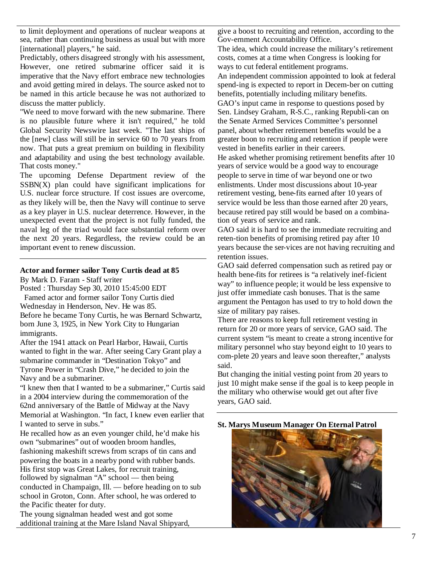to limit deployment and operations of nuclear weapons at sea, rather than continuing business as usual but with more [international] players," he said.

Predictably, others disagreed strongly with his assessment, However, one retired submarine officer said it is imperative that the Navy effort embrace new technologies and avoid getting mired in delays. The source asked not to be named in this article because he was not authorized to discuss the matter publicly.

"We need to move forward with the new submarine. There is no plausible future where it isn't required," he told Global Security Newswire last week. "The last ships of the [new] class will still be in service 60 to 70 years from now. That puts a great premium on building in flexibility and adaptability and using the best technology available. That costs money."

The upcoming Defense Department review of the  $SSBN(X)$  plan could have significant implications for U.S. nuclear force structure. If cost issues are overcome, as they likely will be, then the Navy will continue to serve as a key player in U.S. nuclear deterrence. However, in the unexpected event that the project is not fully funded, the naval leg of the triad would face substantial reform over the next 20 years. Regardless, the review could be an important event to renew discussion.

#### **Actor and former sailor Tony Curtis dead at 85**

By Mark D. Faram - Staff writer

Posted : Thursday Sep 30, 2010 15:45:00 EDT

Famed actor and former sailor Tony Curtis died Wednesday in Henderson, Nev. He was 85. Before he became Tony Curtis, he was Bernard Schwartz, born June 3, 1925, in New York City to Hungarian immigrants.

After the 1941 attack on Pearl Harbor, Hawaii, Curtis wanted to fight in the war. After seeing Cary Grant play a submarine commander in "Destination Tokyo" and Tyrone Power in "Crash Dive," he decided to join the Navy and be a submariner.

"I knew then that I wanted to be a submariner," Curtis said in a 2004 interview during the commemoration of the 62nd anniversary of the Battle of Midway at the Navy Memorial at Washington. "In fact, I knew even earlier that I wanted to serve in subs."

He recalled how as an even younger child, he'd make his own "submarines" out of wooden broom handles, fashioning makeshift screws from scraps of tin cans and

powering the boats in a nearby pond with rubber bands. His first stop was Great Lakes, for recruit training, followed by signalman "A" school — then being conducted in Champaign, Ill. — before heading on to sub school in Groton, Conn. After school, he was ordered to the Pacific theater for duty.

The young signalman headed west and got some additional training at the Mare Island Naval Shipyard, give a boost to recruiting and retention, according to the Gov-ernment Accountability Office.

The idea, which could increase the military's retirement costs, comes at a time when Congress is looking for ways to cut federal entitlement programs.

An independent commission appointed to look at federal spend-ing is expected to report in Decem-ber on cutting benefits, potentially including military benefits. GAO's input came in response to questions posed by

Sen. Lindsey Graham, R-S.C., ranking Republi-can on the Senate Armed Services Committee's personnel panel, about whether retirement benefits would be a greater boon to recruiting and retention if people were vested in benefits earlier in their careers.

He asked whether promising retirement benefits after 10 years of service would be a good way to encourage people to serve in time of war beyond one or two enlistments. Under most discussions about 10-year retirement vesting, bene-fits earned after 10 years of service would be less than those earned after 20 years, because retired pay still would be based on a combination of years of service and rank.

GAO said it is hard to see the immediate recruiting and reten-tion benefits of promising retired pay after 10 years because the ser-vices are not having recruiting and retention issues.

GAO said deferred compensation such as retired pay or health bene-fits for retirees is "a relatively inef-ficient way" to influence people; it would be less expensive to just offer immediate cash bonuses. That is the same argument the Pentagon has used to try to hold down the size of military pay raises.

There are reasons to keep full retirement vesting in return for 20 or more years of service, GAO said. The current system "is meant to create a strong incentive for military personnel who stay beyond eight to 10 years to com-plete 20 years and leave soon thereafter," analysts said.

But changing the initial vesting point from 20 years to just 10 might make sense if the goal is to keep people in the military who otherwise would get out after five years, GAO said.



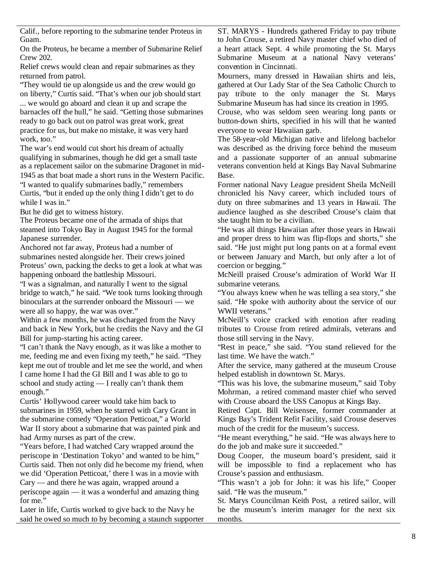Calif., before reporting to the submarine tender Proteus in Guam.

On the Proteus, he became a member of Submarine Relief Crew 202.

Relief crews would clean and repair submarines as they returned from patrol.

"They would tie up alongside us and the crew would go on liberty," Curtis said. "That's when our job should start ... we would go aboard and clean it up and scrape the barnacles off the hull," he said. "Getting those submarines ready to go back out on patrol was great work, great practice for us, but make no mistake, it was very hard work, too."

The war's end would cut short his dream of actually qualifying in submarines, though he did get a small taste as a replacement sailor on the submarine Dragonet in mid-1945 as that boat made a short runs in the Western Pacific. "I wanted to qualify submarines badly," remembers Curtis, "but it ended up the only thing I didn't get to do while I was in."

But he did get to witness history.

The Proteus became one of the armada of ships that steamed into Tokyo Bay in August 1945 for the formal Japanese surrender.

Anchored not far away, Proteus had a number of submarines nested alongside her. Their crews joined Proteus' own, packing the decks to get a look at what was happening onboard the battleship Missouri.

"I was a signalman, and naturally I went to the signal bridge to watch," he said. "We took turns looking through binoculars at the surrender onboard the Missouri — we were all so happy, the war was over."

Within a few months, he was discharged from the Navy and back in New York, but he credits the Navy and the GI Bill for jump-starting his acting career.

"I can't thank the Navy enough, as it was like a mother to me, feeding me and even fixing my teeth," he said. "They kept me out of trouble and let me see the world, and when I came home I had the GI Bill and I was able to go to school and study acting — I really can't thank them enough."

Curtis' Hollywood career would take him back to submarines in 1959, when he starred with Cary Grant in the submarine comedy "Operation Petticoat," a World War II story about a submarine that was painted pink and had Army nurses as part of the crew.

"Years before, I had watched Cary wrapped around the periscope in 'Destination Tokyo' and wanted to be him," Curtis said. Then not only did he become my friend, when we did 'Operation Petticoat,' there I was in a movie with Cary — and there he was again, wrapped around a periscope again — it was a wonderful and amazing thing

for me." Later in life, Curtis worked to give back to the Navy he said he owed so much to by becoming a staunch supporter ST. MARYS - Hundreds gathered Friday to pay tribute to John Crouse, a retired Navy master chief who died of a heart attack Sept. 4 while promoting the St. Marys Submarine Museum at a national Navy veterans' convention in Cincinnati.

Mourners, many dressed in Hawaiian shirts and leis, gathered at Our Lady Star of the Sea Catholic Church to pay tribute to the only manager the St. Marys Submarine Museum has had since its creation in 1995.

Crouse, who was seldom seen wearing long pants or button-down shirts, specified in his will that he wanted everyone to wear Hawaiian garb.

The 58-year-old Michigan native and lifelong bachelor was described as the driving force behind the museum and a passionate supporter of an annual submarine veterans convention held at Kings Bay Naval Submarine Base.

Former national Navy League president Sheila McNeill chronicled his Navy career, which included tours of duty on three submarines and 13 years in Hawaii. The audience laughed as she described Crouse's claim that she taught him to be a civilian.

"He was all things Hawaiian after those years in Hawaii and proper dress to him was flip-flops and shorts," she said. "He just might put long pants on at a formal event or between January and March, but only after a lot of coercion or begging."

McNeill praised Crouse's admiration of World War II submarine veterans.

"You always knew when he was telling a sea story," she said. "He spoke with authority about the service of our WWII veterans."

McNeill's voice cracked with emotion after reading tributes to Crouse from retired admirals, veterans and those still serving in the Navy.

"Rest in peace," she said. "You stand relieved for the last time. We have the watch."

After the service, many gathered at the museum Crouse helped establish in downtown St. Marys.

"This was his love, the submarine museum," said Toby Mohrman, a retired command master chief who served with Crouse aboard the USS Canopus at Kings Bay.

Retired Capt. Bill Weisensee, former commander at Kings Bay's Trident Refit Facility, said Crouse deserves much of the credit for the museum's success.

"He meant everything," he said. "He was always here to do the job and make sure it succeeded."

Doug Cooper, the museum board's president, said it will be impossible to find a replacement who has Crouse's passion and enthusiasm.

"This wasn't a job for John: it was his life," Cooper said. "He was the museum."

St. Marys Councilman Keith Post, a retired sailor, will be the museum's interim manager for the next six months.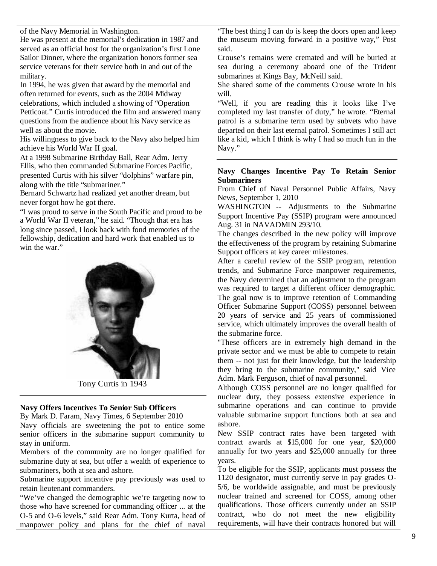of the Navy Memorial in Washington.

He was present at the memorial's dedication in 1987 and served as an official host for the organization's first Lone Sailor Dinner, where the organization honors former sea service veterans for their service both in and out of the military.

In 1994, he was given that award by the memorial and often returned for events, such as the 2004 Midway celebrations, which included a showing of "Operation Petticoat." Curtis introduced the film and answered many questions from the audience about his Navy service as well as about the movie.

His willingness to give back to the Navy also helped him achieve his World War II goal.

At a 1998 Submarine Birthday Ball, Rear Adm. Jerry Ellis, who then commanded Submarine Forces Pacific, presented Curtis with his silver "dolphins" warfare pin, along with the title "submariner."

Bernard Schwartz had realized yet another dream, but never forgot how he got there.

"I was proud to serve in the South Pacific and proud to be a World War II veteran," he said. "Though that era has long since passed, I look back with fond memories of the fellowship, dedication and hard work that enabled us to win the war."



# **Navy Offers Incentives To Senior Sub Officers**

By Mark D. Faram, Navy Times, 6 September 2010

Navy officials are sweetening the pot to entice some senior officers in the submarine support community to stay in uniform.

Members of the community are no longer qualified for submarine duty at sea, but offer a wealth of experience to submariners, both at sea and ashore.

Submarine support incentive pay previously was used to retain lieutenant commanders.

"We've changed the demographic we're targeting now to those who have screened for commanding officer ... at the O-5 and O-6 levels," said Rear Adm. Tony Kurta, head of manpower policy and plans for the chief of naval

"The best thing I can do is keep the doors open and keep the museum moving forward in a positive way," Post said.

Crouse's remains were cremated and will be buried at sea during a ceremony aboard one of the Trident submarines at Kings Bay, McNeill said.

She shared some of the comments Crouse wrote in his will.

"Well, if you are reading this it looks like I've completed my last transfer of duty," he wrote. "Eternal patrol is a submarine term used by subvets who have departed on their last eternal patrol. Sometimes I still act like a kid, which I think is why I had so much fun in the Navy."

# **Navy Changes Incentive Pay To Retain Senior Submariners**

From Chief of Naval Personnel Public Affairs, Navy News, September 1, 2010

WASHINGTON -- Adjustments to the Submarine Support Incentive Pay (SSIP) program were announced Aug. 31 in NAVADMIN 293/10.

The changes described in the new policy will improve the effectiveness of the program by retaining Submarine Support officers at key career milestones.

After a careful review of the SSIP program, retention trends, and Submarine Force manpower requirements, the Navy determined that an adjustment to the program was required to target a different officer demographic. The goal now is to improve retention of Commanding Officer Submarine Support (COSS) personnel between 20 years of service and 25 years of commissioned service, which ultimately improves the overall health of the submarine force.

"These officers are in extremely high demand in the private sector and we must be able to compete to retain them -- not just for their knowledge, but the leadership they bring to the submarine community," said Vice Adm. Mark Ferguson, chief of naval personnel.

Although COSS personnel are no longer qualified for nuclear duty, they possess extensive experience in submarine operations and can continue to provide valuable submarine support functions both at sea and ashore.

New SSIP contract rates have been targeted with contract awards at \$15,000 for one year, \$20,000 annually for two years and \$25,000 annually for three years.

To be eligible for the SSIP, applicants must possess the 1120 designator, must currently serve in pay grades O-5/6, be worldwide assignable, and must be previously nuclear trained and screened for COSS, among other qualifications. Those officers currently under an SSIP contract, who do not meet the new eligibility requirements, will have their contracts honored but will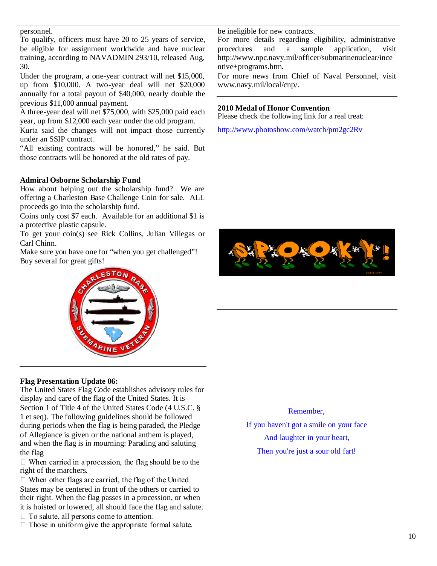## personnel.

To qualify, officers must have 20 to 25 years of service, be eligible for assignment worldwide and have nuclear training, according to NAVADMIN 293/10, released Aug. 30.

Under the program, a one-year contract will net \$15,000, up from \$10,000. A two-year deal will net \$20,000 annually for a total payout of \$40,000, nearly double the previous \$11,000 annual payment.

A three-year deal will net \$75,000, with \$25,000 paid each year, up from \$12,000 each year under the old program.

Kurta said the changes will not impact those currently under an SSIP contract.

"All existing contracts will be honored," he said. But those contracts will be honored at the old rates of pay.

# **Admiral Osborne Scholarship Fund**

How about helping out the scholarship fund? We are offering a Charleston Base Challenge Coin for sale. ALL proceeds go into the scholarship fund.

Coins only cost \$7 each. Available for an additional \$1 is a protective plastic capsule.

To get your coin(s) see Rick Collins, Julian Villegas or Carl Chinn.

Make sure you have one for "when you get challenged"! Buy several for great gifts!



# **Flag Presentation Update 06:**

The United States Flag Code establishes advisory rules for display and care of the flag of the United States. It is Section 1 of Title 4 of the United States Code (4 U.S.C. § 1 et seq). The following guidelines should be followed during periods when the flag is being paraded, the Pledge of Allegiance is given or the national anthem is played, and when the flag is in mourning: Parading and saluting the flag

 $\Box$  When carried in a procession, the flag should be to the right of the marchers.

 $\Box$  When other flags are carried, the flag of the United States may be centered in front of the others or carried to their right. When the flag passes in a procession, or when it is hoisted or lowered, all should face the flag and salute.

 $\Box$  To salute, all persons come to attention.

 $\Box$  Those in uniform give the appropriate formal salute.

be ineligible for new contracts.

For more details regarding eligibility, administrative procedures and a sample application, visit http://www.npc.navy.mil/officer/submarinenuclear/ince ntive+programs.htm.

For more news from Chief of Naval Personnel, visit www.navy.mil/local/cnp/.

# **2010 Medal of Honor Convention**

Please check the following link for a real treat:

http://www.photoshow.com/watch/pm2gc2Rv



# Remember,

If you haven't got a smile on your face And laughter in your heart, Then you're just a sour old fart!